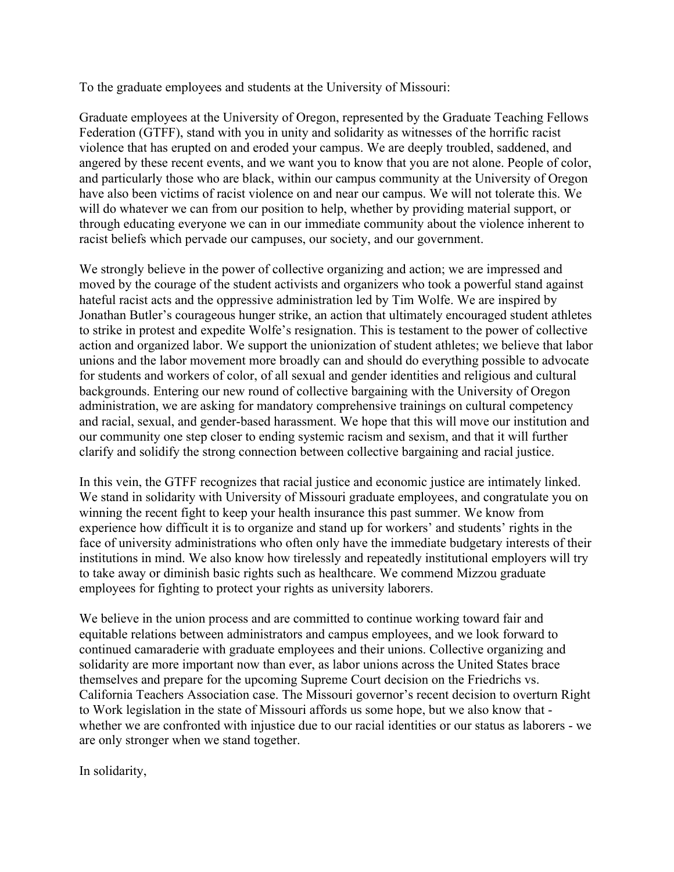To the graduate employees and students at the University of Missouri:

Graduate employees at the University of Oregon, represented by the Graduate Teaching Fellows Federation (GTFF), stand with you in unity and solidarity as witnesses of the horrific racist violence that has erupted on and eroded your campus. We are deeply troubled, saddened, and angered by these recent events, and we want you to know that you are not alone. People of color, and particularly those who are black, within our campus community at the University of Oregon have also been victims of racist violence on and near our campus. We will not tolerate this. We will do whatever we can from our position to help, whether by providing material support, or through educating everyone we can in our immediate community about the violence inherent to racist beliefs which pervade our campuses, our society, and our government.

We strongly believe in the power of collective organizing and action; we are impressed and moved by the courage of the student activists and organizers who took a powerful stand against hateful racist acts and the oppressive administration led by Tim Wolfe. We are inspired by Jonathan Butler's courageous hunger strike, an action that ultimately encouraged student athletes to strike in protest and expedite Wolfe's resignation. This is testament to the power of collective action and organized labor. We support the unionization of student athletes; we believe that labor unions and the labor movement more broadly can and should do everything possible to advocate for students and workers of color, of all sexual and gender identities and religious and cultural backgrounds. Entering our new round of collective bargaining with the University of Oregon administration, we are asking for mandatory comprehensive trainings on cultural competency and racial, sexual, and gender-based harassment. We hope that this will move our institution and our community one step closer to ending systemic racism and sexism, and that it will further clarify and solidify the strong connection between collective bargaining and racial justice.

In this vein, the GTFF recognizes that racial justice and economic justice are intimately linked. We stand in solidarity with University of Missouri graduate employees, and congratulate you on winning the recent fight to keep your health insurance this past summer. We know from experience how difficult it is to organize and stand up for workers' and students' rights in the face of university administrations who often only have the immediate budgetary interests of their institutions in mind. We also know how tirelessly and repeatedly institutional employers will try to take away or diminish basic rights such as healthcare. We commend Mizzou graduate employees for fighting to protect your rights as university laborers.

We believe in the union process and are committed to continue working toward fair and equitable relations between administrators and campus employees, and we look forward to continued camaraderie with graduate employees and their unions. Collective organizing and solidarity are more important now than ever, as labor unions across the United States brace themselves and prepare for the upcoming Supreme Court decision on the Friedrichs vs. California Teachers Association case. The Missouri governor's recent decision to overturn Right to Work legislation in the state of Missouri affords us some hope, but we also know that whether we are confronted with injustice due to our racial identities or our status as laborers - we are only stronger when we stand together.

In solidarity,